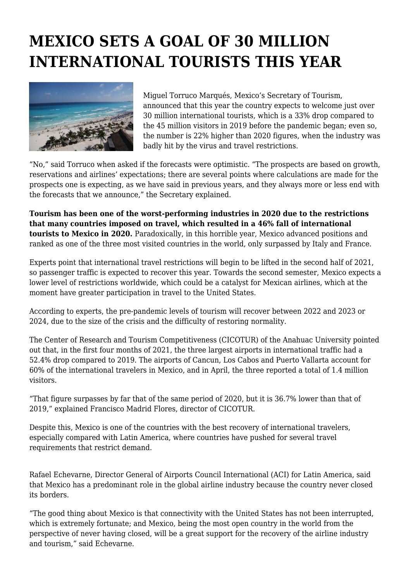## **MEXICO SETS A GOAL OF 30 MILLION INTERNATIONAL TOURISTS THIS YEAR**



Miguel Torruco Marqués, Mexico's Secretary of Tourism, announced that this year the country expects to welcome just over 30 million international tourists, which is a 33% drop compared to the 45 million visitors in 2019 before the pandemic began; even so, the number is 22% higher than 2020 figures, when the industry was badly hit by the virus and travel restrictions.

"No," said Torruco when asked if the forecasts were optimistic. "The prospects are based on growth, reservations and airlines' expectations; there are several points where calculations are made for the prospects one is expecting, as we have said in previous years, and they always more or less end with the forecasts that we announce," the Secretary explained.

**Tourism has been one of the worst-performing industries in 2020 due to the restrictions that many countries imposed on travel, which resulted in a 46% fall of international tourists to Mexico in 2020.** Paradoxically, in this horrible year, Mexico advanced positions and ranked as one of the three most visited countries in the world, only surpassed by Italy and France.

Experts point that international travel restrictions will begin to be lifted in the second half of 2021, so passenger traffic is expected to recover this year. Towards the second semester, Mexico expects a lower level of restrictions worldwide, which could be a catalyst for Mexican airlines, which at the moment have greater participation in travel to the United States.

According to experts, the pre-pandemic levels of tourism will recover between 2022 and 2023 or 2024, due to the size of the crisis and the difficulty of restoring normality.

The Center of Research and Tourism Competitiveness (CICOTUR) of the Anahuac University pointed out that, in the first four months of 2021, the three largest airports in international traffic had a 52.4% drop compared to 2019. The airports of Cancun, Los Cabos and Puerto Vallarta account for 60% of the international travelers in Mexico, and in April, the three reported a total of 1.4 million visitors.

"That figure surpasses by far that of the same period of 2020, but it is 36.7% lower than that of 2019," explained Francisco Madrid Flores, director of CICOTUR.

Despite this, Mexico is one of the countries with the best recovery of international travelers, especially compared with Latin America, where countries have pushed for several travel requirements that restrict demand.

Rafael Echevarne, Director General of Airports Council International (ACI) for Latin America, said that Mexico has a predominant role in the global airline industry because the country never closed its borders.

"The good thing about Mexico is that connectivity with the United States has not been interrupted, which is extremely fortunate; and Mexico, being the most open country in the world from the perspective of never having closed, will be a great support for the recovery of the airline industry and tourism," said Echevarne.